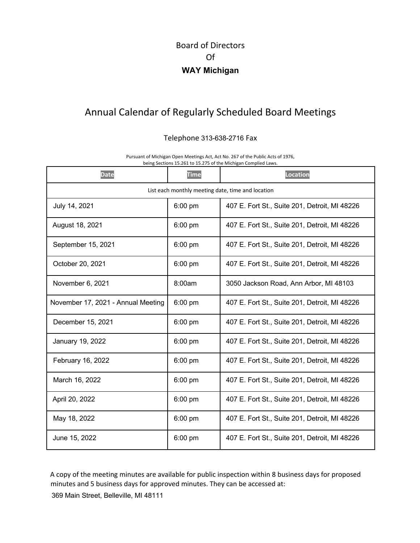## Board of Directors Of **WAY Michigan**

## Annual Calendar of Regularly Scheduled Board Meetings

## Telephone 313-638-2716 Fax

Pursuant of Michigan Open Meetings Act, Act No. 267 of the Public Acts of 1976, being Sections 15.261 to 15.275 of the Michigan Complied Laws.

| <b>Date</b>                                       | <b>Time</b> | <b>Location</b>                               |
|---------------------------------------------------|-------------|-----------------------------------------------|
| List each monthly meeting date, time and location |             |                                               |
| July 14, 2021                                     | 6:00 pm     | 407 E. Fort St., Suite 201, Detroit, MI 48226 |
| August 18, 2021                                   | $6:00$ pm   | 407 E. Fort St., Suite 201, Detroit, MI 48226 |
| September 15, 2021                                | $6:00$ pm   | 407 E. Fort St., Suite 201, Detroit, MI 48226 |
| October 20, 2021                                  | $6:00$ pm   | 407 E. Fort St., Suite 201, Detroit, MI 48226 |
| November 6, 2021                                  | 8:00am      | 3050 Jackson Road, Ann Arbor, MI 48103        |
| November 17, 2021 - Annual Meeting                | $6:00$ pm   | 407 E. Fort St., Suite 201, Detroit, MI 48226 |
| December 15, 2021                                 | $6:00$ pm   | 407 E. Fort St., Suite 201, Detroit, MI 48226 |
| January 19, 2022                                  | $6:00$ pm   | 407 E. Fort St., Suite 201, Detroit, MI 48226 |
| February 16, 2022                                 | $6:00$ pm   | 407 E. Fort St., Suite 201, Detroit, MI 48226 |
| March 16, 2022                                    | $6:00$ pm   | 407 E. Fort St., Suite 201, Detroit, MI 48226 |
| April 20, 2022                                    | $6:00$ pm   | 407 E. Fort St., Suite 201, Detroit, MI 48226 |
| May 18, 2022                                      | $6:00$ pm   | 407 E. Fort St., Suite 201, Detroit, MI 48226 |
| June 15, 2022                                     | 6:00 pm     | 407 E. Fort St., Suite 201, Detroit, MI 48226 |

A copy of the meeting minutes are available for public inspection within 8 business days for proposed minutes and 5 business days for approved minutes. They can be accessed at: 369 Main Street, Belleville, MI 48111